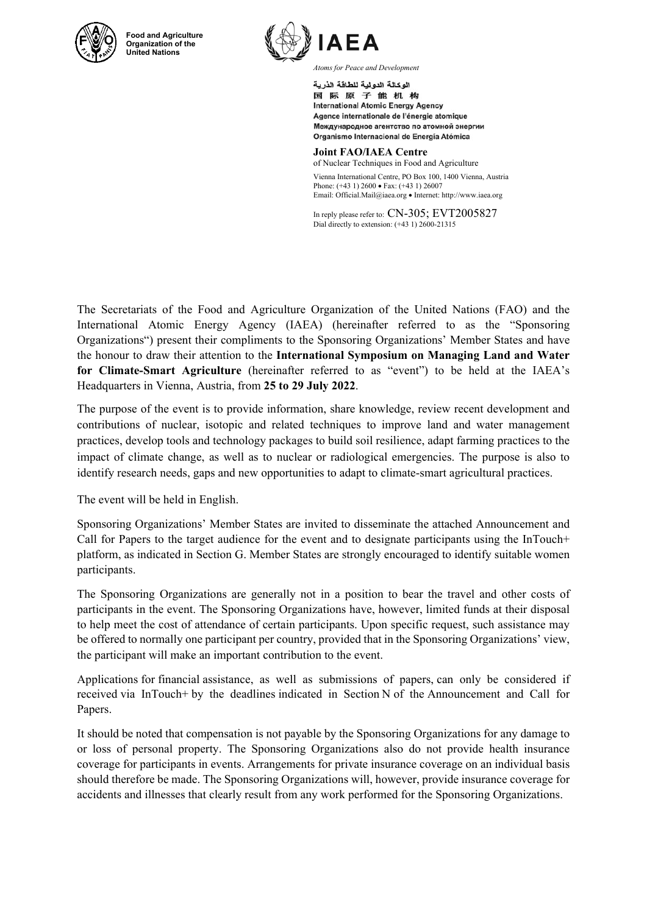

**Food and Agriculture Organization of the United Nations** 



*Atoms for Peace and Development* 

الوكالة الدولية للطاقة الذرية 国际原子能机构 **International Atomic Energy Agency** Agence internationale de l'énergie atomique Международное агентство по атомной энергии Organismo Internacional de Energía Atómica

**Joint FAO/IAEA Centre** of Nuclear Techniques in Food and Agriculture Vienna International Centre, PO Box 100, 1400 Vienna, Austria Phone: (+43 1) 2600 • Fax: (+43 1) 26007 Email: Official.Mail@iaea.org · Internet: http://www.iaea.org

In reply please refer to: CN-305; EVT2005827 Dial directly to extension: (+43 1) 2600-21315

The Secretariats of the Food and Agriculture Organization of the United Nations (FAO) and the International Atomic Energy Agency (IAEA) (hereinafter referred to as the "Sponsoring Organizations") present their compliments to the Sponsoring Organizations' Member States and have the honour to draw their attention to the **International Symposium on Managing Land and Water for Climate-Smart Agriculture** (hereinafter referred to as "event") to be held at the IAEA's Headquarters in Vienna, Austria, from **25 to 29 July 2022**.

The purpose of the event is to provide information, share knowledge, review recent development and contributions of nuclear, isotopic and related techniques to improve land and water management practices, develop tools and technology packages to build soil resilience, adapt farming practices to the impact of climate change, as well as to nuclear or radiological emergencies. The purpose is also to identify research needs, gaps and new opportunities to adapt to climate-smart agricultural practices.

The event will be held in English.

Sponsoring Organizations' Member States are invited to disseminate the attached Announcement and Call for Papers to the target audience for the event and to designate participants using the InTouch+ platform, as indicated in Section G. Member States are strongly encouraged to identify suitable women participants.

The Sponsoring Organizations are generally not in a position to bear the travel and other costs of participants in the event. The Sponsoring Organizations have, however, limited funds at their disposal to help meet the cost of attendance of certain participants. Upon specific request, such assistance may be offered to normally one participant per country, provided that in the Sponsoring Organizations' view, the participant will make an important contribution to the event.

Applications for financial assistance, as well as submissions of papers, can only be considered if received via InTouch+ by the deadlines indicated in Section N of the Announcement and Call for Papers.

It should be noted that compensation is not payable by the Sponsoring Organizations for any damage to or loss of personal property. The Sponsoring Organizations also do not provide health insurance coverage for participants in events. Arrangements for private insurance coverage on an individual basis should therefore be made. The Sponsoring Organizations will, however, provide insurance coverage for accidents and illnesses that clearly result from any work performed for the Sponsoring Organizations.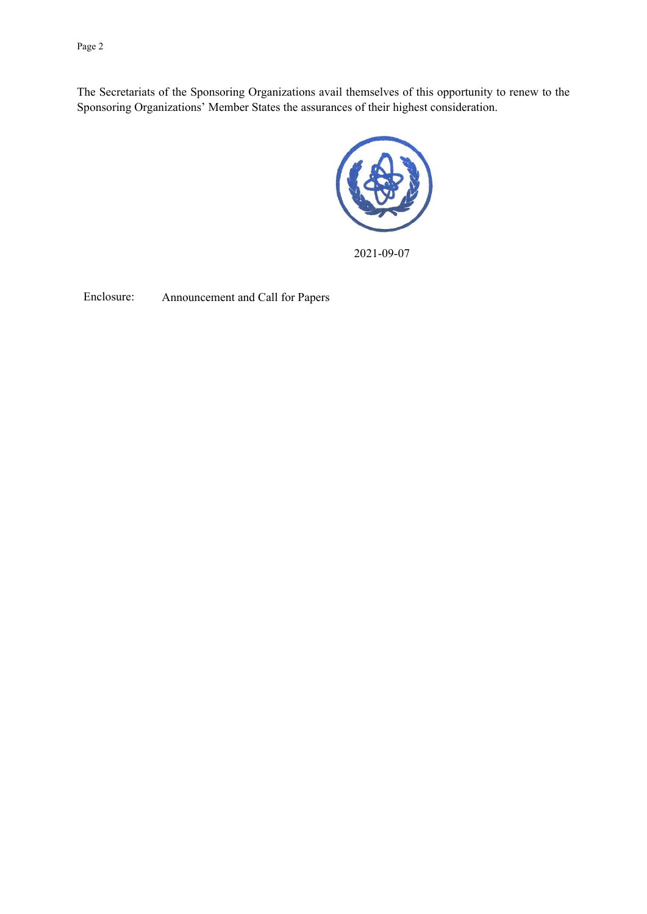Page 2

The Secretariats of the Sponsoring Organizations avail themselves of this opportunity to renew to the Sponsoring Organizations' Member States the assurances of their highest consideration.



2021-09-07

Enclosure: Announcement and Call for Papers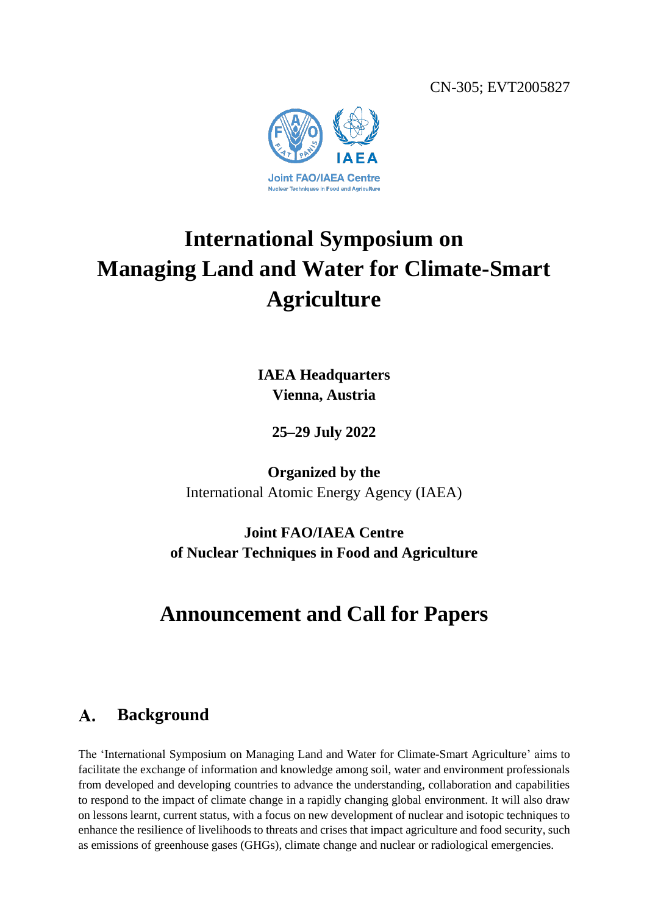CN-305; EVT2005827



# **International Symposium on Managing Land and Water for Climate-Smart Agriculture**

**IAEA Headquarters Vienna, Austria**

**25–29 July 2022**

**Organized by the** International Atomic Energy Agency (IAEA)

**Joint FAO/IAEA Centre of Nuclear Techniques in Food and Agriculture**

## **Announcement and Call for Papers**

#### **Background**  $\mathbf{A}$ .

The 'International Symposium on Managing Land and Water for Climate-Smart Agriculture' aims to facilitate the exchange of information and knowledge among soil, water and environment professionals from developed and developing countries to advance the understanding, collaboration and capabilities to respond to the impact of climate change in a rapidly changing global environment. It will also draw on lessons learnt, current status, with a focus on new development of nuclear and isotopic techniques to enhance the resilience of livelihoods to threats and crises that impact agriculture and food security, such as emissions of greenhouse gases (GHGs), climate change and nuclear or radiological emergencies.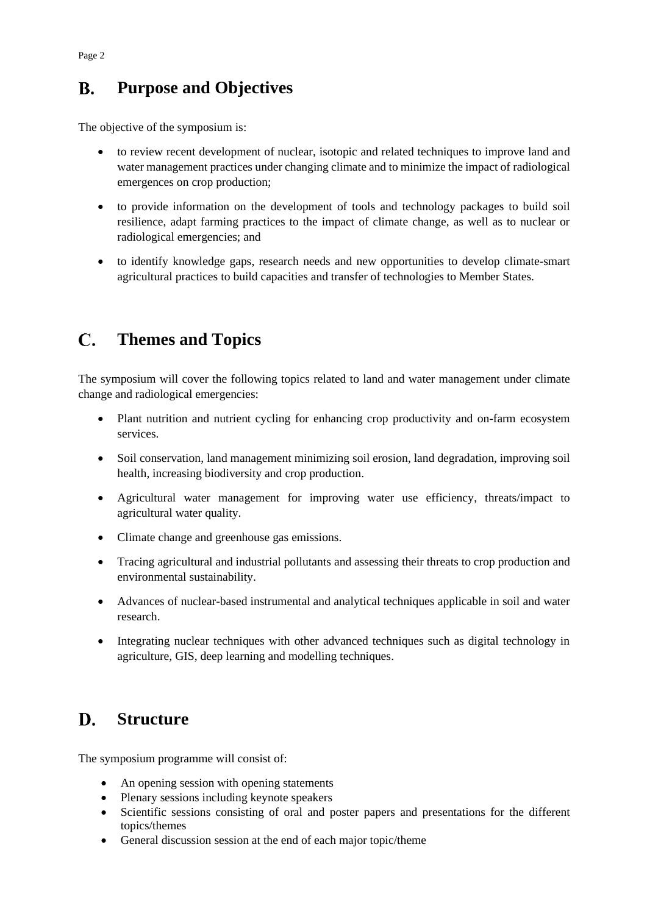#### $\mathbf{R}$ . **Purpose and Objectives**

The objective of the symposium is:

- to review recent development of nuclear, isotopic and related techniques to improve land and water management practices under changing climate and to minimize the impact of radiological emergences on crop production;
- to provide information on the development of tools and technology packages to build soil resilience, adapt farming practices to the impact of climate change, as well as to nuclear or radiological emergencies; and
- to identify knowledge gaps, research needs and new opportunities to develop climate-smart agricultural practices to build capacities and transfer of technologies to Member States.

#### $\mathbf C$ **Themes and Topics**

The symposium will cover the following topics related to land and water management under climate change and radiological emergencies:

- Plant nutrition and nutrient cycling for enhancing crop productivity and on-farm ecosystem services.
- Soil conservation, land management minimizing soil erosion, land degradation, improving soil health, increasing biodiversity and crop production.
- Agricultural water management for improving water use efficiency, threats/impact to agricultural water quality.
- Climate change and greenhouse gas emissions.
- Tracing agricultural and industrial pollutants and assessing their threats to crop production and environmental sustainability.
- Advances of nuclear-based instrumental and analytical techniques applicable in soil and water research.
- Integrating nuclear techniques with other advanced techniques such as digital technology in agriculture, GIS, deep learning and modelling techniques.

#### D. **Structure**

The symposium programme will consist of:

- An opening session with opening statements
- Plenary sessions including keynote speakers
- Scientific sessions consisting of oral and poster papers and presentations for the different topics/themes
- General discussion session at the end of each major topic/theme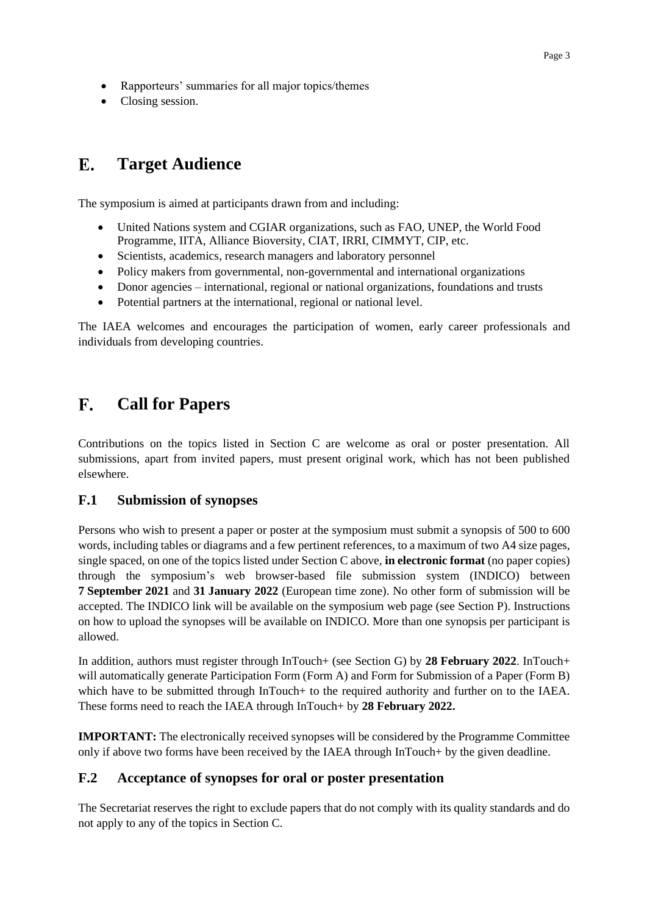- Rapporteurs' summaries for all major topics/themes
- Closing session.

#### $\mathbf{E}$ . **Target Audience**

The symposium is aimed at participants drawn from and including:

- United Nations system and CGIAR organizations, such as FAO, UNEP, the World Food Programme, IITA, Alliance Bioversity, CIAT, IRRI, CIMMYT, CIP, etc.
- Scientists, academics, research managers and laboratory personnel
- Policy makers from governmental, non-governmental and international organizations
- Donor agencies international, regional or national organizations, foundations and trusts
- Potential partners at the international, regional or national level.

The IAEA welcomes and encourages the participation of women, early career professionals and individuals from developing countries.

#### $\mathbf{F}$ . **Call for Papers**

Contributions on the topics listed in Section C are welcome as oral or poster presentation. All submissions, apart from invited papers, must present original work, which has not been published elsewhere.

### **F.1 Submission of synopses**

Persons who wish to present a paper or poster at the symposium must submit a synopsis of 500 to 600 words, including tables or diagrams and a few pertinent references, to a maximum of two A4 size pages, single spaced, on one of the topics listed under Section C above, **in electronic format** (no paper copies) through the symposium's web browser-based file submission system (INDICO) between **7 September 2021** and **31 January 2022** (European time zone). No other form of submission will be accepted. The INDICO link will be available on the symposium web page (see Section P). Instructions on how to upload the synopses will be available on INDICO. More than one synopsis per participant is allowed.

In addition, authors must register through InTouch+ (see Section G) by **28 February 2022**. InTouch+ will automatically generate Participation Form (Form A) and Form for Submission of a Paper (Form B) which have to be submitted through InTouch+ to the required authority and further on to the IAEA. These forms need to reach the IAEA through InTouch+ by **28 February 2022.**

**IMPORTANT:** The electronically received synopses will be considered by the Programme Committee only if above two forms have been received by the IAEA through InTouch+ by the given deadline.

### **F.2 Acceptance of synopses for oral or poster presentation**

The Secretariat reserves the right to exclude papers that do not comply with its quality standards and do not apply to any of the topics in Section C.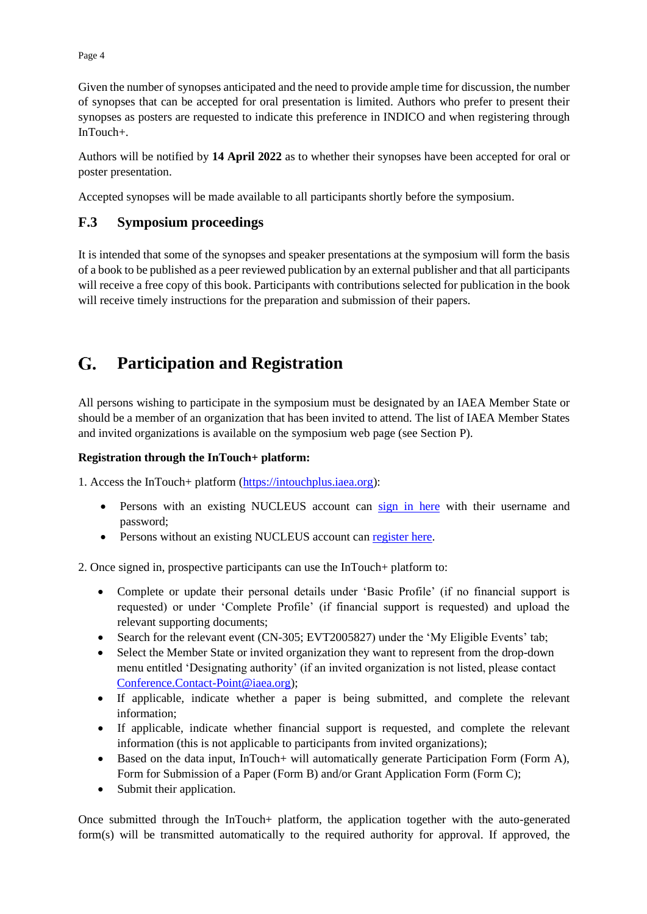Given the number of synopses anticipated and the need to provide ample time for discussion, the number of synopses that can be accepted for oral presentation is limited. Authors who prefer to present their synopses as posters are requested to indicate this preference in INDICO and when registering through InTouch+.

Authors will be notified by **14 April 2022** as to whether their synopses have been accepted for oral or poster presentation.

Accepted synopses will be made available to all participants shortly before the symposium.

### **F.3 Symposium proceedings**

It is intended that some of the synopses and speaker presentations at the symposium will form the basis of a book to be published as a peer reviewed publication by an external publisher and that all participants will receive a free copy of this book. Participants with contributions selected for publication in the book will receive timely instructions for the preparation and submission of their papers.

#### $G_{\cdot}$ **Participation and Registration**

All persons wishing to participate in the symposium must be designated by an IAEA Member State or should be a member of an organization that has been invited to attend. The list of IAEA Member States and invited organizations is available on the symposium web page (see Section P).

### **Registration through the InTouch+ platform:**

1. Access the InTouch+ platform [\(https://intouchplus.iaea.org\)](https://intouchplus.iaea.org/):

- Persons with an existing NUCLEUS account can [sign in here](https://www.iaea.org/resources/databases/intouch-) with their username and password;
- Persons without an existing NUCLEUS account can [register here.](https://www.iaea.org/resources/databases/intouch-)

2. Once signed in, prospective participants can use the InTouch+ platform to:

- Complete or update their personal details under 'Basic Profile' (if no financial support is requested) or under 'Complete Profile' (if financial support is requested) and upload the relevant supporting documents;
- Search for the relevant event (CN-305; EVT2005827) under the 'My Eligible Events' tab;
- Select the Member State or invited organization they want to represent from the drop-down menu entitled 'Designating authority' (if an invited organization is not listed, please contact [Conference.Contact-Point@iaea.org\)](mailto:Conference.Contact-Point@iaea.org);
- If applicable, indicate whether a paper is being submitted, and complete the relevant information;
- If applicable, indicate whether financial support is requested, and complete the relevant information (this is not applicable to participants from invited organizations);
- Based on the data input, InTouch + will automatically generate Participation Form (Form A), Form for Submission of a Paper (Form B) and/or Grant Application Form (Form C);
- Submit their application.

Once submitted through the InTouch+ platform, the application together with the auto-generated form(s) will be transmitted automatically to the required authority for approval. If approved, the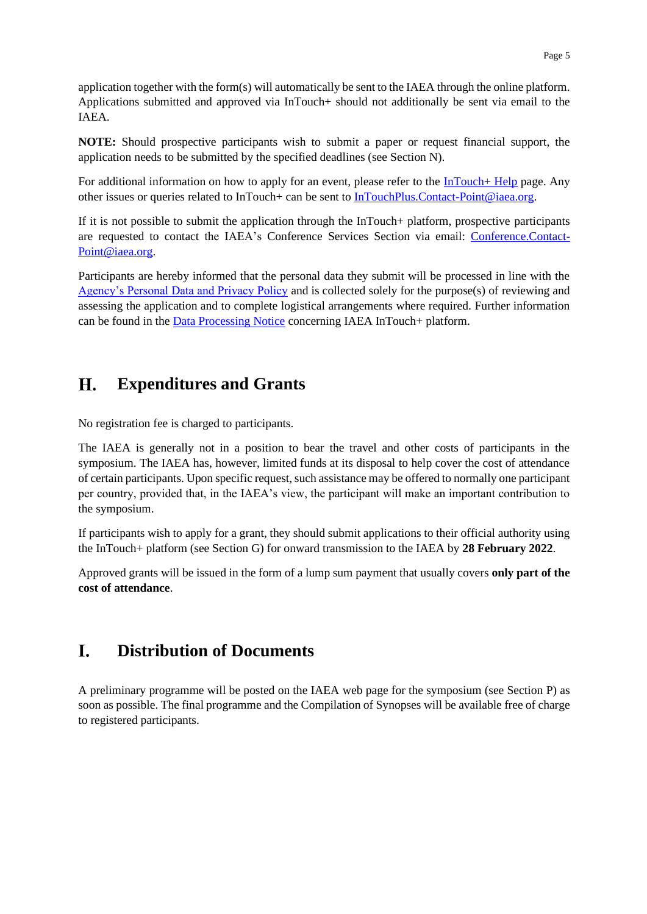application together with the form(s) will automatically be sent to the IAEA through the online platform. Applications submitted and approved via InTouch+ should not additionally be sent via email to the IAEA.

**NOTE:** Should prospective participants wish to submit a paper or request financial support, the application needs to be submitted by the specified deadlines (see Section N).

For additional information on how to apply for an event, please refer to the  $InTouch+ Help$  page. Any other issues or queries related to InTouch+ can be sent to [InTouchPlus.Contact-Point@iaea.org.](mailto:InTouchPlus.Contact-Point@iaea.org)

If it is not possible to submit the application through the InTouch+ platform, prospective participants are requested to contact the IAEA's Conference Services Section via email: [Conference.Contact-](mailto:Conference.Contact-Point@iaea.org)[Point@iaea.org.](mailto:Conference.Contact-Point@iaea.org)

Participants are hereby informed that the personal data they submit will be processed in line with the [Agency's Personal Data and Privacy Policy](https://www.iaea.org/about/privacy-policy#:~:text=The%20IAEA%20is%20committed%20to,accountable%20and%20non%2Ddiscriminatory%20manner.&text=The%20Privacy%20Policy%20provides%20the,carrying%20out%20its%20mandated%20activities.) and is collected solely for the purpose(s) of reviewing and assessing the application and to complete logistical arrangements where required. Further information can be found in the [Data Processing Notice](https://nucleus.iaea.org/sites/intouchplushelp/Documents/itp_dpn.pdf) concerning IAEA InTouch+ platform.

#### H. **Expenditures and Grants**

No registration fee is charged to participants.

The IAEA is generally not in a position to bear the travel and other costs of participants in the symposium. The IAEA has, however, limited funds at its disposal to help cover the cost of attendance of certain participants. Upon specific request, such assistance may be offered to normally one participant per country, provided that, in the IAEA's view, the participant will make an important contribution to the symposium.

If participants wish to apply for a grant, they should submit applications to their official authority using the InTouch+ platform (see Section G) for onward transmission to the IAEA by **28 February 2022**.

Approved grants will be issued in the form of a lump sum payment that usually covers **only part of the cost of attendance**.

#### L. **Distribution of Documents**

A preliminary programme will be posted on the IAEA web page for the symposium (see Section P) as soon as possible. The final programme and the Compilation of Synopses will be available free of charge to registered participants.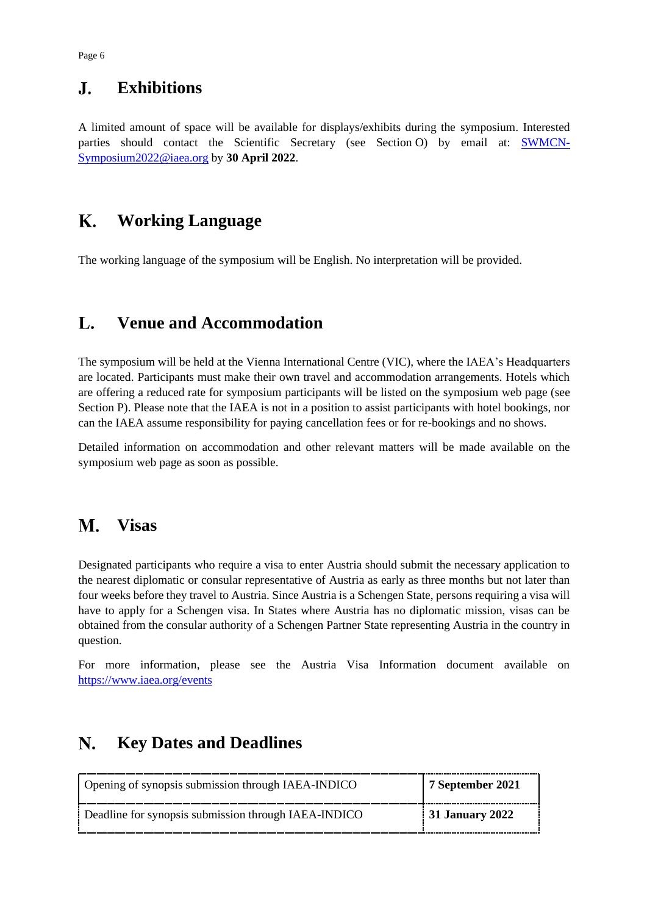#### $\mathbf{J}$ . **Exhibitions**

A limited amount of space will be available for displays/exhibits during the symposium. Interested parties should contact the Scientific Secretary (see Section O) by email at: [SWMCN-](mailto:SWMCN-Symposium2022@iaea.org)[Symposium2022@iaea.org](mailto:SWMCN-Symposium2022@iaea.org) by **30 April 2022**.

#### **K. Working Language**

The working language of the symposium will be English. No interpretation will be provided.

#### L. **Venue and Accommodation**

The symposium will be held at the Vienna International Centre (VIC), where the IAEA's Headquarters are located. Participants must make their own travel and accommodation arrangements. Hotels which are offering a reduced rate for symposium participants will be listed on the symposium web page (see Section P). Please note that the IAEA is not in a position to assist participants with hotel bookings, nor can the IAEA assume responsibility for paying cancellation fees or for re-bookings and no shows.

Detailed information on accommodation and other relevant matters will be made available on the symposium web page as soon as possible.

#### M. **Visas**

Designated participants who require a visa to enter Austria should submit the necessary application to the nearest diplomatic or consular representative of Austria as early as three months but not later than four weeks before they travel to Austria. Since Austria is a Schengen State, persons requiring a visa will have to apply for a Schengen visa. In States where Austria has no diplomatic mission, visas can be obtained from the consular authority of a Schengen Partner State representing Austria in the country in question.

For more information, please see the Austria Visa Information document available on <https://www.iaea.org/events>

#### N. **Key Dates and Deadlines**

| Opening of synopsis submission through IAEA-INDICO   | 7 September 2021 |
|------------------------------------------------------|------------------|
| Deadline for synopsis submission through IAEA-INDICO | 31 January 2022  |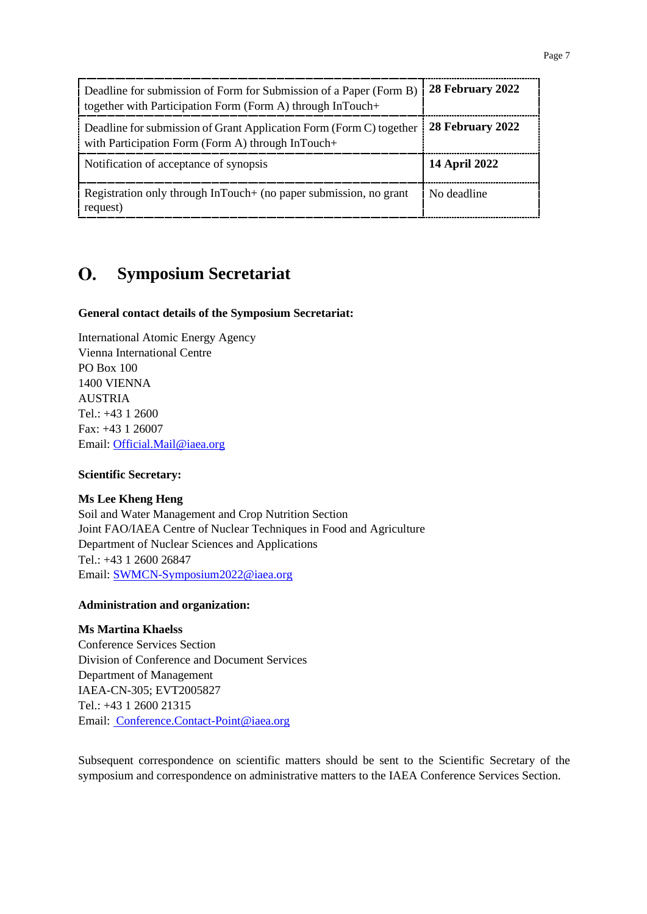|--|--|

| Deadline for submission of Form for Submission of a Paper (Form B)<br>together with Participation Form (Form A) through InTouch+ | 28 February 2022     |
|----------------------------------------------------------------------------------------------------------------------------------|----------------------|
| Deadline for submission of Grant Application Form (Form C) together<br>with Participation Form (Form A) through InTouch+         | 28 February 2022     |
| Notification of acceptance of synopsis                                                                                           | <b>14 April 2022</b> |
| Registration only through InTouch+ (no paper submission, no grant<br>request)                                                    | No deadline          |

#### **Symposium Secretariat**  $\mathbf{O}$ .

### **General contact details of the Symposium Secretariat:**

International Atomic Energy Agency Vienna International Centre PO Box 100 1400 VIENNA AUSTRIA Tel.: +43 1 2600 Fax: +43 1 26007 Email: [Official.Mail@iaea.org](mailto:official.mail@iaea.org)

### **Scientific Secretary:**

### **Ms Lee Kheng Heng**

Soil and Water Management and Crop Nutrition Section Joint FAO/IAEA Centre of Nuclear Techniques in Food and Agriculture Department of Nuclear Sciences and Applications Tel.: +43 1 2600 26847 Email: [SWMCN-Symposium2022@iaea.org](mailto:SWMCN-Symposium2022@iaea.org)

### **Administration and organization:**

### **Ms Martina Khaelss**

Conference Services Section Division of Conference and Document Services Department of Management IAEA-CN-305; EVT2005827 Tel.: +43 1 2600 21315 Email: [Conference.Contact-Point@iaea.org](mailto:%20Conference.Contact-Point@iaea.org)

Subsequent correspondence on scientific matters should be sent to the Scientific Secretary of the symposium and correspondence on administrative matters to the IAEA Conference Services Section.